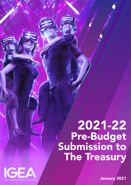# 2021-22 Pre-Budget<br>Submission to The Treasury



January 2021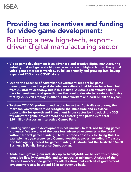### **IGEA**

# Providing tax incentives and funding for video game development: Building a new high-tech, exportdriven digital manufacturing sector

- Video game development is an advanced and creative digital manufacturing industry that will generate high-value exports and high-tech jobs. The global video games market is worth \$250 billion annually and growing fast, having expanded 20% since COVID alone.
- Due to the absence of Australian Government support for game development over the past decade, we estimate that billions have been lost from Australia's economy. But if this is fixed, Australia can attract billions back in investment and growth over the coming decade to create an industry that by 2030 can employ 10,000 full-time workers and earn \$1 billion a year.
- To stem COVID's profound and lasting impact on Australia's economy, the Morrison Government must recognise the immediate and explosive opportunity for growth and investment in our sector by introducing a 30% tax offset for game development and restoring the previous federal \$20 million Australian Interactive Games Fund.
- Funding video game development is not unusual. In fact, not funding games is unusual. We are one of the very few advanced economies in the world without federal games funding. There is broad consensus for fixing this. For example, last year alone, two Commonwealth agencies (including a Treasury portfolio agency) called for games funding: Austrade and the Australian Small Business & Family Enterprise Ombudsman.
- Aside from growing our industry up to twentyfold, we believe this funding would be fiscally-responsible and tax-neutral at minimum. Analysis of the UK and France's video games tax offsets show that each \$1 of government investment results in around \$2 in tax revenue back.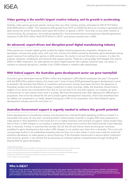### Video gaming is the world's largest creative industry, and its growth is accelerating

Globally, video games generate greater revenue than any other creative activity, estimated at USD \$174.9 billion (AUD \$250 billion) in 2020.<sup>1</sup> This represents 20% growth from 2019 as COVID has led to an increase in gameplay and sales around the world. Australians alone spent \$3.6 billion on games in 2019, $^2$  more than on any other creative or cultural activity. By comparison, the combined global film, home entertainment and streaming industries generated revenues of USD \$101 billion (AUD \$139 billion) in 2019,<sup>3</sup> and almost certainly less in 2020.

### An advanced, export-driven and disruption-proof digital manufacturing industry

Video games are complex digital goods created by highly-trained programmers, engineers, designers and developers. Games have great value, with over four of every five dollars earned by Australian game developers being export revenue from selling their games or skills overseas. Our sector is not just the pixels on screens: it is also the engines, hardware, middleware and networks that support games. These are cutting-edge technologies that require billions in R&D investment. As video games are direct digital exports with a global customer base, our sector is resistant to external disruptions, whether it be COVID-related or volatile trade relationships.

### With federal support, the Australian game development sector can grow twentyfold

Australia's game developers earned \$184.6 million and employed 1,245 fulltime employees last year.4 Compared with the \$250 billion global industry, this means just 7 cents of every \$100 generated by game development comes to Australia. We estimate that billions in investment and economic activity have been lost from the departure of Australian studios and the diversion of foreign investment to other countries. Sadly, the Australian Government's neglect of our sector has contributed to this. But it's not too late to fix, and with support, our industry can grow to become ten or even twenty times what it is today. We know this because even after adjusting for differences in population, that is how far ahead the UK and Canada's game development industries, which have benefited from tax offsets, are compared to us. Sadly, despite having just a fifth of our population, even New Zealand's game development industry earns far more than us.<sup>5</sup>

### Australian Government support is urgently needed to achieve this growth potential

Game development is a borderless industry, and Australia has a talented English-speaking workforce located in a favourable time zone. So why aren't we doing better? Unfortunately, Australia is roughly 30% more expensive to make games in than elsewhere in the world due to our higher business costs and lack of support. Game studios have told us that it is 30% cheaper to run studios in advanced but lower-cost countries like Poland and the Czech Republic than in Australia. Further, in countries like Canada, the US, the UK and France, there are strong tax incentives available for game development that make it 30% cheaper to run studios over there than in Australia. This is not only causing large studios to be established anywhere else but here, but it also makes it much more costly for small and ambitious developers to make games or secure financing. If the Australian Government is serious about investment and economic growth, it can achieve this by boosting our industry's global competitiveness through levelling the playing field for game developers.

1<https://www.gamesindustry.biz/articles/2020-11-04-newzoo-raises-its-annual-games-industry-forecast-for-2020-once-again>

5<https://nzgda.com/news/survey2020>

### Who is IGEA?

IGEA is the industry association representing and advocating for the video games industry in Australia, including the developers, publishers and distributors of video games. We also manage The Arcade in South Melbourne, Australia's first, not-for-profit, collaborative workspace created for game developers and creative companies that use game design and technologies. IGEA is also known for organising the Game Connect Asia Pacific (GCAP) conference for Australian game developers, and the Australian Game Developer Awards (AGDAs) celebrating the best Australian games of the year.

<sup>2</sup> <https://igea.net/2020/06/australian-video-game-industry-positioned-for-a-rebound-in-2020-following-marginal-drop/>

<sup>3</sup><https://www.forbes.com/sites/rosaescandon/2020/03/12/the-film-industry-made-a-record-breaking-100-billion-last-year>

<sup>4</sup><https://igea.net/2021/01/australian-game-development-industry-counts-185-million-in-revenue/>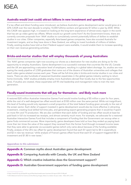### Australia would (not could) attract billions in new investment and spending

If a tax offset and direct funding were introduced, we believe Australia's game development sector would grow at a 22% CAGR over the next decade to employ 10,000 fulltime workers and generate \$1 billion a year by 2030. While this CAGR rate appears high, it is based on looking at the long-term experience of almost every region in the world that has set up video game tax offsets. Where would our growth come from? As the Government knows, there are currently concrete proposals from 'AAA' studios to cumulatively commit potentially billions of dollars to establish studios in our cities. Other companies, especially Asia-based games companies, have also scouted Australia for investment targets, and as they have done in New Zealand, are willing to invest hundreds of millions of dollars. Finally, existing studios have told us that if federal support were available, it would enable them to increase spending on their own revenue-generating activities.

### Bricks-and-mortar studios that will employ thousands of young Australians

The 'AAA' games companies right now scouting our shores as a destination for new studios are doing so for the opportunity to employ Australians. Game development is so successful overseas that countries like the US, Canada and the UK are approaching a saturation level of employers, resulting in a global talent shortage. So, studios are now eyeing the ready pipeline of 3,500 graduates that come out of the dozens of Australian universities and colleges that teach video game-related courses each year. These will be full-time jobs in bricks-and-mortar studios in our cities and towns. There are also hundreds of seasoned Australian expatriates in the global games industry waiting to return home (ironically, 'AAA' studios probably employ more Australians abroad than locally due to the few opportunities here). If studios are created, these expatriates will fill vital leadership and management roles to train the next generation.

### Fiscally-sound investments that will pay for themselves - and likely much more

A restored \$20 million Australian Interactive Games Fund would involve funding of \$5 million a year for four years, while the cost of a well-designed tax offset would start at \$100 million over the same period. While not insignificant, this level of funding would only represent a small proportion of the total federal funding given annually to the rest of the screen sector. Each dollar of support invested in game development would also be more effective in attracting investment, creating local skilled full-time jobs, and generating export-generating projects than it would be if spent on more film and TV production. We are also confident that each dollar of funding and tax offset would at least be paid back in full via increased tax receipts, and almost certainly much more. For example, we advocate for a restored Australian Interactive Games Fund that includes a component of funding that the Government can recoup when a game finds commercial success. More importantly, game developers have told us how they ended up paying back more than ten times the value of the support they received from the former fund through increased income taxes that they were able to generate via successful games (which only came about because of the funding available). Finally, analysis of the UK's tax offset for game development found that each \$1 spent led to \$4 in expenditure and \$2 in new tax revenue, $^{\circ}$  while analysis of France's games offset found that each \$1 of support triggered \$8 in investment and \$1.80 in new taxes.7

#### *Appendices to this submission:*

Appendix A: Common myths about Australian game development Appendix B: Comparing Australia with Canada, the UK and New Zealand Appendix C: Which creative industries does the Government support? Appendix D: Australian Government supporters of funding game development

<sup>6</sup><https://www2.bfi.org.uk/sites/bfi.org.uk/files/downloads/screen-business-full-report-2018-10-08.pdf>

<sup>7</sup> CNC [National Centre for Cinema and the Moving Image], Aides à la création de jeux video – Bilan 2015, 2015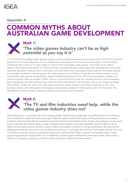### **IGEA**

### Appendix A

### COMMON MYTHS ABOUT AUSTRALIAN GAME DEVELOPMENT



### Myth 1: *'The video games industry can't be as high potential as you say it is'*

It is. The size of the global video games industry is conservatively measured at more than twice that of the combined global film and music industries, or more ambitiously measured as the same size as every other creative industry combined. How is this so? To start, close to a third of the world plays video games. And unlike most creative exports, Australian-made games can find tremendous success overseas. Video games are arguably the most widelyexported Australian-made product in the world, and Australia's most successful cultural exports of the past decade are probably not films or musical groups, but video games like Fruit Ninja, Crossy Road or Hollow Knight. Just as importantly, video games are incredibly valuable intellectual properties that use innovative business models and attract long-term revenue streams. Unlike a film or a tonne of iron ore that can only be sold once, some Australian game developers are still finding success with titles they released half a decade ago, such as the League of Geeks title Armello. Finally, not only is the video game consumer export market continuing to expand, so too is the business market, with video game technologies being rapidly adopted in other sectors, from TV shows like The Mandalorian to the simulation software used for training and industrial design.

### Myth 2: *'The TV and film industries need help, while the video games industry does not'*

Game developers, in particular new and emerging studios, have the same challenges as budding film and TV producers, such as difficulties obtaining financing through traditional capital markets (like banks), creating products and reaching audiences. Direct funding like the Australian Interactive Games Fund will help fix this. Further, the Australian Government's screen incentives also exist to attract foreign investment and support screen jobs, especially the PDV offset for visual effects and animation studios, and the Location Offset and Location Incentive for foreign productions. But because the global games industry is so much more valuable and growing so much faster than the rest of the screen industry, the scale of investment and job creation accessible through a game development offset is almost incomparably higher. Finally, supporting games also supports film and TV businesses, because game development these days needs writers, actors, directors, composers, musicians, animators, and so many other traditional screen workers.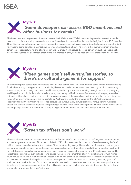### Myth 3: *'Game developers can access R&D incentives and other business tax breaks'*

This is not true, as most game studios cannot access the R&D incentive. While investment in game innovation frequently occurs, much of the spending in Australia is on creative and production activities that may be ineligible for the R&D incentive. Other kinds of general support, such as the accelerated depreciation and instant asset write-off schemes, are also of limited relevance to game developers as most game development costs are labour. The reality is that the Government provides screen sector-specific funding and offsets for film and TV production because it accepts screen production needs specific policy levers. Games are also screen productions, just interactive ones, and also need to access these screen policy levers.

### Myth 4: *'Video games don't tell Australian stories, so there's no cultural argument for support'*

This misconception comes from an outdated view of video games from the 80s and 90s as being simple programs mainly for children. Today, video games are beautiful, highly complex and narrative-driven, with a strong emphasis on writing, sound, music, art and design. An intercultural love-story in the city, a wombat's ambling through the bush, a young boy and his pelican, a colonial Australian murder mystery, and a magical Melbourne coffeehouse are all uniquely Australian settings that have been portrayed in recent video games, as are all the Australian sporting games that can only be made here. Other locally-made games are stories told by Australians or under the creative control of Australians and are irresistibly filled with Australian voices, tones, colours and humour. Every cultural argument for supporting Australian artistic and creative activity also applies to supporting Australian video game development, with the added benefit of also creating a high-value export sector and skilling up a generation of innovative and versatile high-tech workers.



The Australian Government has continued to back its framework of screen production tax offsets, even after conducting a once-in-a-generation review of its screen policies in 2020. It has even doubled down on offsets by creating the \$400 million Location Incentive to boost the Location Offset for attracting foreign film production. A new tax offset for game development would be even more effective. First, a game development tax offset would attract far greater investment, not only because the global games sector is so much larger, but because the local film and TV sectors are restricted by infrastructure constraints such as finite sound stages. A game development tax offset would also have a much higher ROI because unlike the PDV and Location Offsets, it would not only help to attract overseas investment and spending to Australia, but would also help local studios to develop more - and more ambitious - export-generating games of their own. Also, unlike film and TV projects that tend to last weeks to months at most, and almost always provide shortterm jobs only, a game development tax offset will create permanent bricks-and-mortar studios across Australia that will overwhelmingly employ full-time Australians.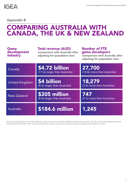Appendix B

### COMPARING AUSTRALIA WITH CANADA, THE UK & NEW ZEALAND

| <b>Game</b><br>development<br>industry | <b>Total revenue (AUD)</b><br>(comparison with Australia after<br>adjusting for population size) | <b>Number of FTE</b><br>game developers<br>(comparison with Australia after<br>adjusting for population size) |
|----------------------------------------|--------------------------------------------------------------------------------------------------|---------------------------------------------------------------------------------------------------------------|
| Canada                                 | \$4.72 billion<br>(17.2x larger than Australia)                                                  | 27,700<br>(14.8x more than Australia)                                                                         |
| <b>United Kingdom</b>                  | \$4 billion<br>(8.2x larger than Australia)                                                      | 18,279<br>(5.5x more than Australia)                                                                          |
| New Zealand                            | \$305 million<br>(8.5x larger than Australia)                                                    | 747<br>(3.1x more than Australia)                                                                             |
| Australia                              | \$184.6 million                                                                                  | 1,245                                                                                                         |

*Note: Comparison figures have been adjusted to take into account population differences between countries. The UK and Canadian figures assess the contribution to GDP rather than revenue and have been used as a proxy for revenue to provide an approximate measure of scale.*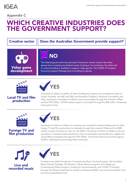

### Appendix C

### WHICH CREATIVE INDUSTRIES DOES THE GOVERNMENT SUPPORT?

### Creative sector | Does the Australian Government provide support?

## NO

The federal government has excluded 'interactive' screen content like video games from accessing any federal screen funding or tax incentives. No other arts or cultural funding is available to support video games. The COVID-19 Creative Economy Support Package had no funding for games.



Video game development

### Local TV and film production



Hundreds of millions of dollars of direct funding and support are provided annually via Screen Australia, the ABC and SBS, the Australian Children's Television Foundation and other institutions. Hundreds of millions more are provided through the Producer Offset and the PDV Offset. COVID-related support is provided through the \$50 million Temporary Interruption Fund.



### Foreign TV and film production



Hundreds of millions of dollars of incentives are provided to attract Hollywood and other foreign TV and film productions to Australia through the Location Offset and the \$400 million Location Incentive to 'top up' the Offset. Hundreds of millions of dollars more are provided to overseas screen productions that use Australian post-production, digital and visual effects companies through the PDV Offset. The Government has an entire agency, Ausfilm, dedicated to promoting these incentives.



recorded music



Funding is provided through the Contemporary Music Touring Program, the Australian Music Industry Package, the Women in Music Mentor program, the Indigenous Contemporary Music program, funding for Sound Australia, and COVID-19 funding through the Restart Investment to Sustain and Expand (RISE) Fund, the Show Starter Fund and Arts Sustainability Fund.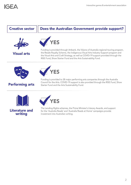

### Creative sector  $||$  Does the Australian Government provide support?



Visual arts



Funding is provided through Artbank, the Visions of Australia regional touring program, the Resale Royalty Scheme, the Indigenous Visual Arts Industry Support program and the Visual Arts and Craft Strategy, as well as COVID-19 support provided through the RISE Fund, Show Starter Fund and the Arts Sustainability Fund.





### Performing arts

Funding is provided to 28 major performing arts companies through the Australia Council for the Arts. COVID-19 support is also provided through the RISE Fund, Show Starter Fund and the Arts Sustainability Fund.





The Lending Rights schemes, the Prime Minister's Literary Awards, and support for the 'Australia Reads' and 'Australia Reads at Home' campaigns provide investment into Australian writing.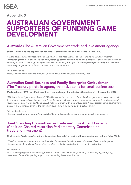### Appendix D

### AUSTRALIAN GOVERNMENT SUPPORTERS OF FUNDING GAME DEVELOPMENT

### Austrade (The Australian Government's trade and investment agency)

Submission to options paper for supporting Australian stories on our screens (3 July 2020)

*"Austrade recommends updating the exclusion list for the Post, Digital and Visual Effects (PDV) Offset to remove 'computer games' from this list. As well as supporting platform neutral funding and a consistent offset to assist Australian content, this would encourage Foreign Direct Investment (FDI) from global technology companies and grow Australia's current digital games sector into a competitive and vibrant sector."*

Full submission at:

[https://www.communications.gov.au/sites/default/files/submissions/sass-austrade\\_0.pdf](https://www.communications.gov.au/sites/default/files/submissions/sass-austrade_0.pdf)

### Australian Small Business and Family Enterprise Ombudsman (The Treasury portfolio agency that advocates for small businesses)

Media release: '30% tax offset would be a game-changer for industry - Ombudsman' (19 November 2020)

*"While the federal government invests \$750 million annually in arts and culture, the video game sector continues to fall through the cracks. IGEA estimates Australia could create a \$1 billion industry in game development, providing export revenue and employing an additional 10,000 full time workers with the right support. A tax offset for game development, similar to the incentives given to the screen production industry would be an excellent start."*

Full media release at: <https://www.asbfeo.gov.au/news/news-articles/30-tax-offset-would-be-game-changer-industry-ombudsman>

### Joint Standing Committee on Trade and Investment Growth (Coalition-Chaired Australian Parliamentary Committee on trade and investment)

Final report: 'Trade transformation: Supporting Australia's export and investment opportunities' (May 2020)

*"The Committee recommends that the Australian Government introduce a refundable tax offset for video game development in Australia, similar to offsets provided to the film and television production industries."*

#### Full report at:

[https://www.aph.gov.au/Parliamentary\\_Business/Committees/Joint/Joint\\_Standing\\_Committee\\_on\\_Trade\\_and\\_](https://www.aph.gov.au/Parliamentary_Business/Committees/Joint/Joint_Standing_Committee_on_Trade_and_Investment_Growth/Supporting_exports_and_attracting_investment/Report) Investment\_Growth/Supporting\_exports\_and\_attracting\_investment/Report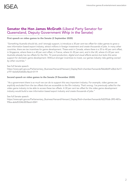### Senator the Hon James McGrath (Liberal Party Senator for Queensland, Deputy Government Whip in the Senate)

#### First speech on video games to the Senate (2 September 2020)

*"Something Australia should do, and I strongly support, is introduce a 30 per cent tax offset for video games to grow a new information based export industry, attract millions in foreign investment and create thousands of jobs. In many other countries, there are tax incentives for game development. These exist in Canada, where there is a 35 to 40 per cent offset,*  in Singapore, where there is a 40 per cent offset, in France, where it's 30 per cent, and in the UK, where it's 20 per cent. *Australia already has tax offsets for the film, TV, post-production, digital and visual effects sectors but lacks this same support for domestic game development. Without stronger incentives to invest, our games industry risks getting owned by other countries."*

#### See full Senate speech:

[https://www.aph.gov.au/Parliamentary\\_Business/Hansard/Hansard\\_Display?bid=chamber/hansards/f66ddb49-e0bd-4a17](https://www.aph.gov.au/Parliamentary_Business/Hansard/Hansard_Display?bid=chamber/hansards/f66ddb49-e0bd-4a17-a197-4a5d525d0d0c/&sid=0119) [a197-4a5d525d0d0c/&sid=0119](https://www.aph.gov.au/Parliamentary_Business/Hansard/Hansard_Display?bid=chamber/hansards/f66ddb49-e0bd-4a17-a197-4a5d525d0d0c/&sid=0119)

#### Second speech on video games to the Senate (9 December 2020)

*"As a government there is so much we can do to support this very important industry. For example, video games are*  explicitly excluded from the tax offsets that are accessible to the film industry. That's wrong. I've previously called for the *video game industry to be able to access these tax offsets. A 30 per cent tax offset for the video game development industry would build a new information based export industry and create thousands of jobs."*

#### See full Senate speech:

[https://www.aph.gov.au/Parliamentary\\_Business/Hansard/Hansard\\_Display?bid=chamber/hansards/fd2295d6-3f93-487a-](https://www.aph.gov.au/Parliamentary_Business/Hansard/Hansard_Display?bid=chamber/hansards/fd2295d6-3f93-487a-95ba-ab6d5334b30f/&sid=0041)[95ba-ab6d5334b30f/&sid=0041](https://www.aph.gov.au/Parliamentary_Business/Hansard/Hansard_Display?bid=chamber/hansards/fd2295d6-3f93-487a-95ba-ab6d5334b30f/&sid=0041)